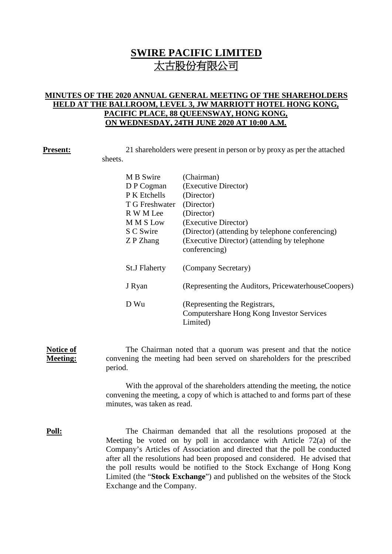# **SWIRE PACIFIC LIMITED** 太古股份有限公司

# **MINUTES OF THE 2020 ANNUAL GENERAL MEETING OF THE SHAREHOLDERS HELD AT THE BALLROOM, LEVEL 3, JW MARRIOTT HOTEL HONG KONG, PACIFIC PLACE, 88 QUEENSWAY, HONG KONG, ON WEDNESDAY, 24TH JUNE 2020 AT 10:00 A.M.**

**Present:** 21 shareholders were present in person or by proxy as per the attached sheets.

| M B Swire            | (Chairman)                                                                                    |
|----------------------|-----------------------------------------------------------------------------------------------|
| D P Cogman           | (Executive Director)                                                                          |
| P K Etchells         | (Director)                                                                                    |
| T G Freshwater       | (Director)                                                                                    |
| R W M Lee            | (Director)                                                                                    |
| <b>MMSLow</b>        | (Executive Director)                                                                          |
| S C Swire            | (Director) (attending by telephone conferencing)                                              |
| Z P Zhang            | (Executive Director) (attending by telephone                                                  |
|                      | conferencing)                                                                                 |
| <b>St.J Flaherty</b> | (Company Secretary)                                                                           |
| J Ryan               | (Representing the Auditors, PricewaterhouseCoopers)                                           |
| D Wu                 | (Representing the Registrars,<br><b>Computershare Hong Kong Investor Services</b><br>Limited) |

**Notice of Meeting:** The Chairman noted that a quorum was present and that the notice convening the meeting had been served on shareholders for the prescribed period.

> With the approval of the shareholders attending the meeting, the notice convening the meeting, a copy of which is attached to and forms part of these minutes, was taken as read.

**Poll:** The Chairman demanded that all the resolutions proposed at the Meeting be voted on by poll in accordance with Article 72(a) of the Company's Articles of Association and directed that the poll be conducted after all the resolutions had been proposed and considered. He advised that the poll results would be notified to the Stock Exchange of Hong Kong Limited (the "**Stock Exchange**") and published on the websites of the Stock Exchange and the Company.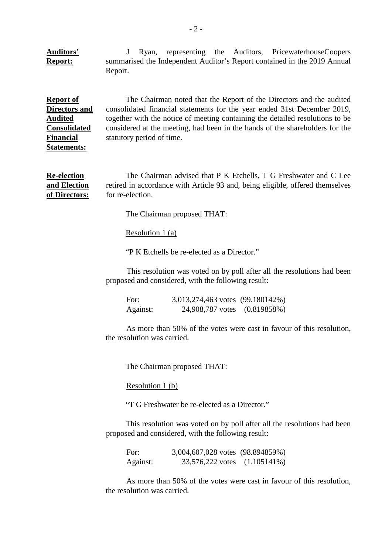**Auditors' Report:** J Ryan, representing the Auditors, PricewaterhouseCoopers summarised the Independent Auditor's Report contained in the 2019 Annual Report.

**Report of Directors and Audited Consolidated Financial Statements:**

The Chairman noted that the Report of the Directors and the audited consolidated financial statements for the year ended 31st December 2019, together with the notice of meeting containing the detailed resolutions to be considered at the meeting, had been in the hands of the shareholders for the statutory period of time.

**Re-election and Election of Directors:** The Chairman advised that P K Etchells, T G Freshwater and C Lee retired in accordance with Article 93 and, being eligible, offered themselves for re-election.

The Chairman proposed THAT:

Resolution 1 (a)

"P K Etchells be re-elected as a Director."

This resolution was voted on by poll after all the resolutions had been proposed and considered, with the following result:

For: 3,013,274,463 votes (99.180142%) Against: 24,908,787 votes (0.819858%)

As more than 50% of the votes were cast in favour of this resolution, the resolution was carried.

The Chairman proposed THAT:

Resolution 1 (b)

"T G Freshwater be re-elected as a Director."

This resolution was voted on by poll after all the resolutions had been proposed and considered, with the following result:

For: 3,004,607,028 votes (98.894859%) Against: 33,576,222 votes (1.105141%)

As more than 50% of the votes were cast in favour of this resolution, the resolution was carried.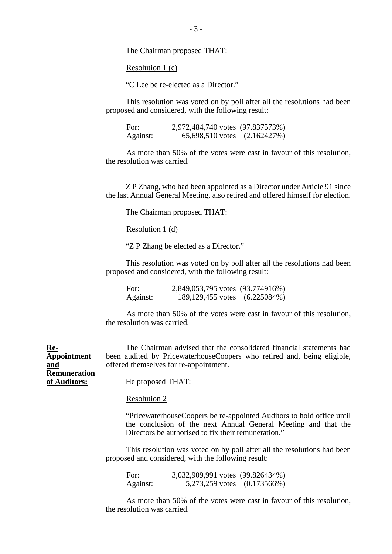The Chairman proposed THAT:

Resolution 1 (c)

"C Lee be re-elected as a Director."

This resolution was voted on by poll after all the resolutions had been proposed and considered, with the following result:

For: 2,972,484,740 votes (97.837573%)<br>Against: 65,698,510 votes (2.162427%) 65,698,510 votes (2.162427%)

As more than 50% of the votes were cast in favour of this resolution, the resolution was carried.

Z P Zhang, who had been appointed as a Director under Article 91 since the last Annual General Meeting, also retired and offered himself for election.

The Chairman proposed THAT:

Resolution 1 (d)

"Z P Zhang be elected as a Director."

This resolution was voted on by poll after all the resolutions had been proposed and considered, with the following result:

For: 2,849,053,795 votes (93.774916%) Against: 189,129,455 votes (6.225084%)

As more than 50% of the votes were cast in favour of this resolution, the resolution was carried.

The Chairman advised that the consolidated financial statements had been audited by PricewaterhouseCoopers who retired and, being eligible, offered themselves for re-appointment.

**Appointment and Remuneration of Auditors:**

**Re-**

He proposed THAT:

### Resolution 2

"PricewaterhouseCoopers be re-appointed Auditors to hold office until the conclusion of the next Annual General Meeting and that the Directors be authorised to fix their remuneration."

This resolution was voted on by poll after all the resolutions had been proposed and considered, with the following result:

For: 3,032,909,991 votes (99.826434%) Against: 5,273,259 votes (0.173566%)

As more than 50% of the votes were cast in favour of this resolution, the resolution was carried.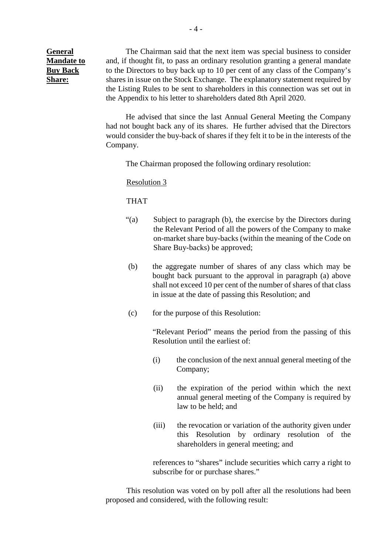**General Mandate to Buy Back Share:**

The Chairman said that the next item was special business to consider and, if thought fit, to pass an ordinary resolution granting a general mandate to the Directors to buy back up to 10 per cent of any class of the Company's shares in issue on the Stock Exchange. The explanatory statement required by the Listing Rules to be sent to shareholders in this connection was set out in the Appendix to his letter to shareholders dated 8th April 2020.

He advised that since the last Annual General Meeting the Company had not bought back any of its shares. He further advised that the Directors would consider the buy-back of shares if they felt it to be in the interests of the Company.

The Chairman proposed the following ordinary resolution:

Resolution 3

THAT

- "(a) Subject to paragraph (b), the exercise by the Directors during the Relevant Period of all the powers of the Company to make on-market share buy-backs (within the meaning of the Code on Share Buy-backs) be approved;
- (b) the aggregate number of shares of any class which may be bought back pursuant to the approval in paragraph (a) above shall not exceed 10 per cent of the number of shares of that class in issue at the date of passing this Resolution; and
- (c) for the purpose of this Resolution:

"Relevant Period" means the period from the passing of this Resolution until the earliest of:

- (i) the conclusion of the next annual general meeting of the Company;
- (ii) the expiration of the period within which the next annual general meeting of the Company is required by law to be held; and
- (iii) the revocation or variation of the authority given under this Resolution by ordinary resolution of the shareholders in general meeting; and

references to "shares" include securities which carry a right to subscribe for or purchase shares."

This resolution was voted on by poll after all the resolutions had been proposed and considered, with the following result: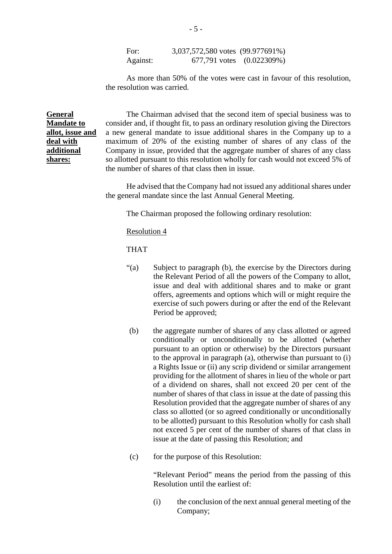For: 3,037,572,580 votes (99.977691%) Against: 677,791 votes (0.022309%)

As more than 50% of the votes were cast in favour of this resolution, the resolution was carried.

**General Mandate to allot, issue and deal with additional shares:**

The Chairman advised that the second item of special business was to consider and, if thought fit, to pass an ordinary resolution giving the Directors a new general mandate to issue additional shares in the Company up to a maximum of 20% of the existing number of shares of any class of the Company in issue, provided that the aggregate number of shares of any class so allotted pursuant to this resolution wholly for cash would not exceed 5% of the number of shares of that class then in issue.

He advised that the Company had not issued any additional shares under the general mandate since the last Annual General Meeting.

The Chairman proposed the following ordinary resolution:

### Resolution 4

THAT

- "(a) Subject to paragraph (b), the exercise by the Directors during the Relevant Period of all the powers of the Company to allot, issue and deal with additional shares and to make or grant offers, agreements and options which will or might require the exercise of such powers during or after the end of the Relevant Period be approved;
- (b) the aggregate number of shares of any class allotted or agreed conditionally or unconditionally to be allotted (whether pursuant to an option or otherwise) by the Directors pursuant to the approval in paragraph (a), otherwise than pursuant to (i) a Rights Issue or (ii) any scrip dividend or similar arrangement providing for the allotment of shares in lieu of the whole or part of a dividend on shares, shall not exceed 20 per cent of the number of shares of that class in issue at the date of passing this Resolution provided that the aggregate number of shares of any class so allotted (or so agreed conditionally or unconditionally to be allotted) pursuant to this Resolution wholly for cash shall not exceed 5 per cent of the number of shares of that class in issue at the date of passing this Resolution; and
- (c) for the purpose of this Resolution:

"Relevant Period" means the period from the passing of this Resolution until the earliest of:

(i) the conclusion of the next annual general meeting of the Company;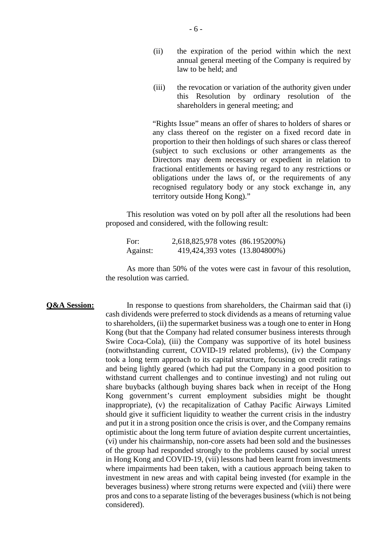- (ii) the expiration of the period within which the next annual general meeting of the Company is required by law to be held; and
- (iii) the revocation or variation of the authority given under this Resolution by ordinary resolution of the shareholders in general meeting; and

"Rights Issue" means an offer of shares to holders of shares or any class thereof on the register on a fixed record date in proportion to their then holdings of such shares or class thereof (subject to such exclusions or other arrangements as the Directors may deem necessary or expedient in relation to fractional entitlements or having regard to any restrictions or obligations under the laws of, or the requirements of any recognised regulatory body or any stock exchange in, any territory outside Hong Kong)."

This resolution was voted on by poll after all the resolutions had been proposed and considered, with the following result:

For: 2,618,825,978 votes (86.195200%) Against: 419,424,393 votes (13.804800%)

As more than 50% of the votes were cast in favour of this resolution, the resolution was carried.

**Q&A Session:** In response to questions from shareholders, the Chairman said that (i) cash dividends were preferred to stock dividends as a means of returning value to shareholders, (ii) the supermarket business was a tough one to enter in Hong Kong (but that the Company had related consumer business interests through Swire Coca-Cola), (iii) the Company was supportive of its hotel business (notwithstanding current, COVID-19 related problems), (iv) the Company took a long term approach to its capital structure, focusing on credit ratings and being lightly geared (which had put the Company in a good position to withstand current challenges and to continue investing) and not ruling out share buybacks (although buying shares back when in receipt of the Hong Kong government's current employment subsidies might be thought inappropriate), (v) the recapitalization of Cathay Pacific Airways Limited should give it sufficient liquidity to weather the current crisis in the industry and put it in a strong position once the crisis is over, and the Company remains optimistic about the long term future of aviation despite current uncertainties, (vi) under his chairmanship, non-core assets had been sold and the businesses of the group had responded strongly to the problems caused by social unrest in Hong Kong and COVID-19, (vii) lessons had been learnt from investments where impairments had been taken, with a cautious approach being taken to investment in new areas and with capital being invested (for example in the beverages business) where strong returns were expected and (viii) there were pros and cons to a separate listing of the beverages business (which is not being considered).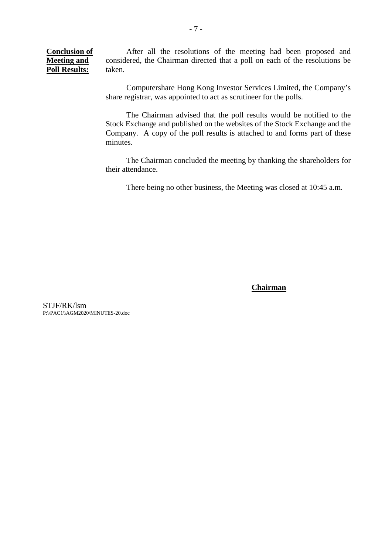**Conclusion of Meeting and Poll Results:** After all the resolutions of the meeting had been proposed and considered, the Chairman directed that a poll on each of the resolutions be taken.

> Computershare Hong Kong Investor Services Limited, the Company's share registrar, was appointed to act as scrutineer for the polls.

> The Chairman advised that the poll results would be notified to the Stock Exchange and published on the websites of the Stock Exchange and the Company. A copy of the poll results is attached to and forms part of these minutes.

> The Chairman concluded the meeting by thanking the shareholders for their attendance.

There being no other business, the Meeting was closed at 10:45 a.m.

**Chairman**

STJF/RK/lsm P:\\PAC1\\AGM2020\MINUTES-20.doc